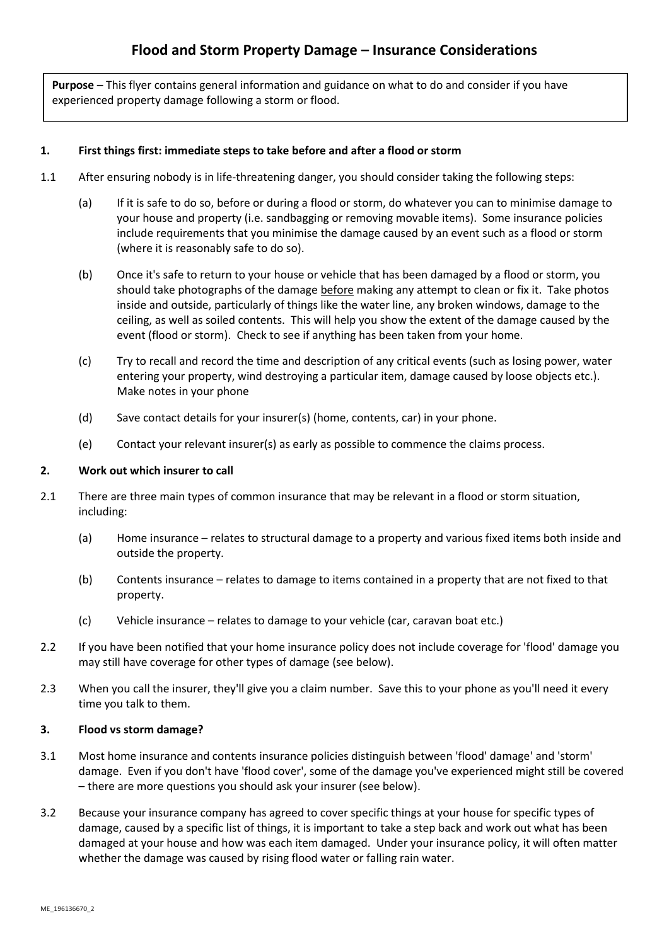**Purpose** – This flyer contains general information and guidance on what to do and consider if you have experienced property damage following a storm or flood.

## **1. First things first: immediate steps to take before and after a flood or storm**

- 1.1 After ensuring nobody is in life-threatening danger, you should consider taking the following steps:
	- (a) If it is safe to do so, before or during a flood or storm, do whatever you can to minimise damage to your house and property (i.e. sandbagging or removing movable items). Some insurance policies include requirements that you minimise the damage caused by an event such as a flood or storm (where it is reasonably safe to do so).
	- (b) Once it's safe to return to your house or vehicle that has been damaged by a flood or storm, you should take photographs of the damage before making any attempt to clean or fix it. Take photos inside and outside, particularly of things like the water line, any broken windows, damage to the ceiling, as well as soiled contents. This will help you show the extent of the damage caused by the event (flood or storm). Check to see if anything has been taken from your home.
	- (c) Try to recall and record the time and description of any critical events (such as losing power, water entering your property, wind destroying a particular item, damage caused by loose objects etc.). Make notes in your phone
	- (d) Save contact details for your insurer(s) (home, contents, car) in your phone.
	- (e) Contact your relevant insurer(s) as early as possible to commence the claims process.

## **2. Work out which insurer to call**

- 2.1 There are three main types of common insurance that may be relevant in a flood or storm situation, including:
	- (a) Home insurance relates to structural damage to a property and various fixed items both inside and outside the property.
	- (b) Contents insurance relates to damage to items contained in a property that are not fixed to that property.
	- (c) Vehicle insurance relates to damage to your vehicle (car, caravan boat etc.)
- 2.2 If you have been notified that your home insurance policy does not include coverage for 'flood' damage you may still have coverage for other types of damage (see below).
- 2.3 When you call the insurer, they'll give you a claim number. Save this to your phone as you'll need it every time you talk to them.

## **3. Flood vs storm damage?**

- 3.1 Most home insurance and contents insurance policies distinguish between 'flood' damage' and 'storm' damage. Even if you don't have 'flood cover', some of the damage you've experienced might still be covered – there are more questions you should ask your insurer (see below).
- 3.2 Because your insurance company has agreed to cover specific things at your house for specific types of damage, caused by a specific list of things, it is important to take a step back and work out what has been damaged at your house and how was each item damaged. Under your insurance policy, it will often matter whether the damage was caused by rising flood water or falling rain water.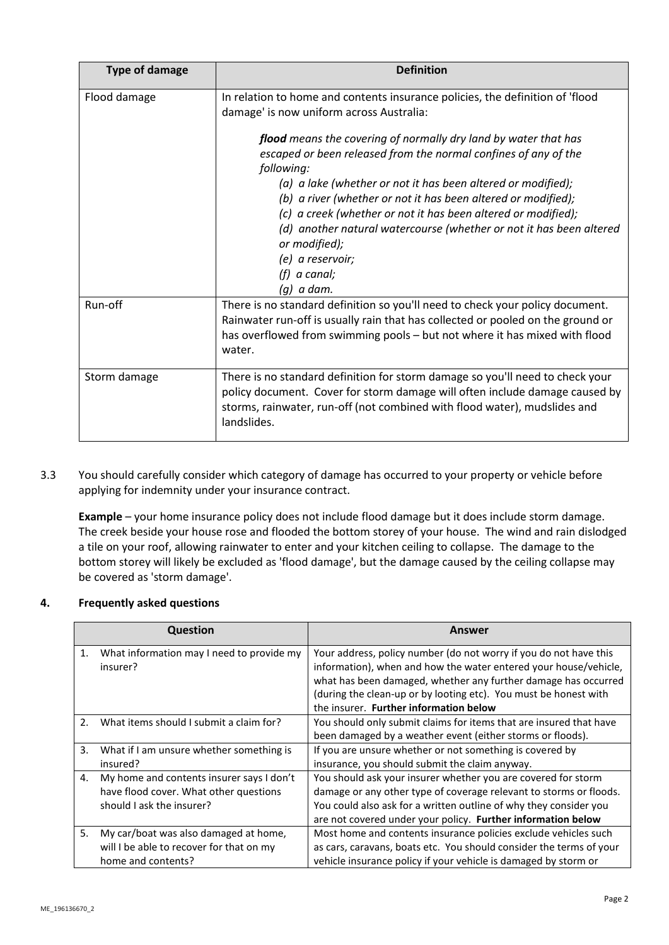| <b>Type of damage</b> | <b>Definition</b>                                                                                                                                                                                                                                                                      |
|-----------------------|----------------------------------------------------------------------------------------------------------------------------------------------------------------------------------------------------------------------------------------------------------------------------------------|
| Flood damage          | In relation to home and contents insurance policies, the definition of 'flood<br>damage' is now uniform across Australia:                                                                                                                                                              |
|                       | flood means the covering of normally dry land by water that has<br>escaped or been released from the normal confines of any of the<br>following:                                                                                                                                       |
|                       | (a) a lake (whether or not it has been altered or modified);<br>(b) a river (whether or not it has been altered or modified);<br>(c) a creek (whether or not it has been altered or modified);<br>(d) another natural watercourse (whether or not it has been altered<br>or modified); |
|                       | (e) a reservoir;<br>$(f)$ a canal;<br>$(q)$ a dam.                                                                                                                                                                                                                                     |
| Run-off               | There is no standard definition so you'll need to check your policy document.<br>Rainwater run-off is usually rain that has collected or pooled on the ground or<br>has overflowed from swimming pools - but not where it has mixed with flood<br>water.                               |
| Storm damage          | There is no standard definition for storm damage so you'll need to check your<br>policy document. Cover for storm damage will often include damage caused by<br>storms, rainwater, run-off (not combined with flood water), mudslides and<br>landslides.                               |

3.3 You should carefully consider which category of damage has occurred to your property or vehicle before applying for indemnity under your insurance contract.

**Example** – your home insurance policy does not include flood damage but it does include storm damage. The creek beside your house rose and flooded the bottom storey of your house. The wind and rain dislodged a tile on your roof, allowing rainwater to enter and your kitchen ceiling to collapse. The damage to the bottom storey will likely be excluded as 'flood damage', but the damage caused by the ceiling collapse may be covered as 'storm damage'.

## **4. Frequently asked questions**

|                           | <b>Question</b>                           | Answer                                                              |
|---------------------------|-------------------------------------------|---------------------------------------------------------------------|
| $\mathbf{1}$ .            | What information may I need to provide my | Your address, policy number (do not worry if you do not have this   |
| insurer?                  |                                           | information), when and how the water entered your house/vehicle,    |
|                           |                                           | what has been damaged, whether any further damage has occurred      |
|                           |                                           | (during the clean-up or by looting etc). You must be honest with    |
|                           |                                           | the insurer. Further information below                              |
| 2.                        | What items should I submit a claim for?   | You should only submit claims for items that are insured that have  |
|                           |                                           | been damaged by a weather event (either storms or floods).          |
| 3.                        | What if I am unsure whether something is  | If you are unsure whether or not something is covered by            |
|                           | insured?                                  | insurance, you should submit the claim anyway.                      |
| 4.                        | My home and contents insurer says I don't | You should ask your insurer whether you are covered for storm       |
|                           | have flood cover. What other questions    | damage or any other type of coverage relevant to storms or floods.  |
| should I ask the insurer? |                                           | You could also ask for a written outline of why they consider you   |
|                           |                                           | are not covered under your policy. Further information below        |
| 5.                        | My car/boat was also damaged at home,     | Most home and contents insurance policies exclude vehicles such     |
|                           | will I be able to recover for that on my  | as cars, caravans, boats etc. You should consider the terms of your |
|                           | home and contents?                        | vehicle insurance policy if your vehicle is damaged by storm or     |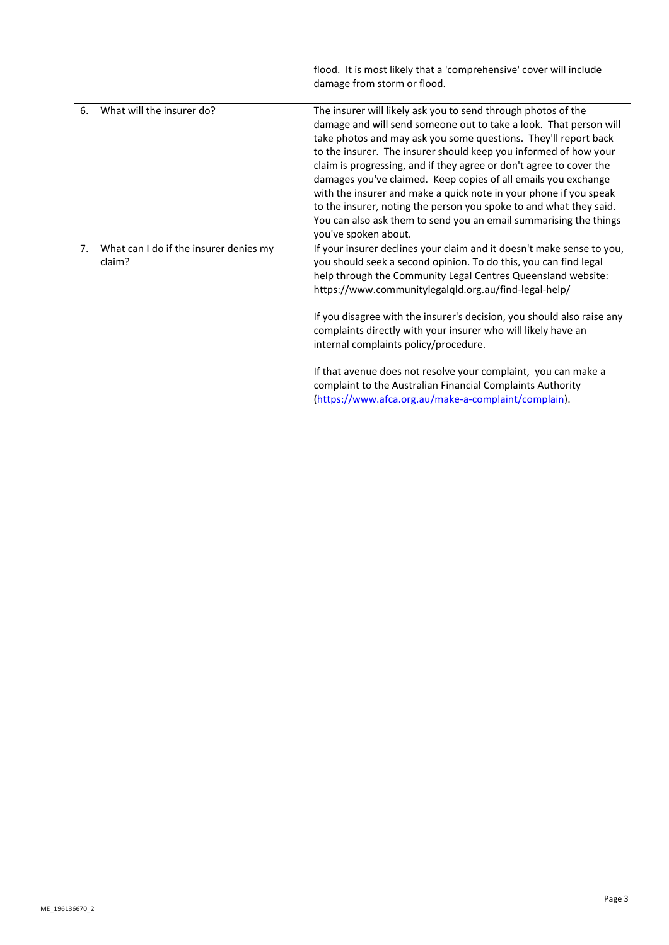|                |                                                  | flood. It is most likely that a 'comprehensive' cover will include<br>damage from storm or flood.                                                                                                                                                                                                                                                                                                                                                                                                                                                                                                                                                          |
|----------------|--------------------------------------------------|------------------------------------------------------------------------------------------------------------------------------------------------------------------------------------------------------------------------------------------------------------------------------------------------------------------------------------------------------------------------------------------------------------------------------------------------------------------------------------------------------------------------------------------------------------------------------------------------------------------------------------------------------------|
| 6.             | What will the insurer do?                        | The insurer will likely ask you to send through photos of the<br>damage and will send someone out to take a look. That person will<br>take photos and may ask you some questions. They'll report back<br>to the insurer. The insurer should keep you informed of how your<br>claim is progressing, and if they agree or don't agree to cover the<br>damages you've claimed. Keep copies of all emails you exchange<br>with the insurer and make a quick note in your phone if you speak<br>to the insurer, noting the person you spoke to and what they said.<br>You can also ask them to send you an email summarising the things<br>you've spoken about. |
| 7 <sub>1</sub> | What can I do if the insurer denies my<br>claim? | If your insurer declines your claim and it doesn't make sense to you,<br>you should seek a second opinion. To do this, you can find legal<br>help through the Community Legal Centres Queensland website:<br>https://www.communitylegalqld.org.au/find-legal-help/<br>If you disagree with the insurer's decision, you should also raise any<br>complaints directly with your insurer who will likely have an<br>internal complaints policy/procedure.                                                                                                                                                                                                     |
|                |                                                  | If that avenue does not resolve your complaint, you can make a<br>complaint to the Australian Financial Complaints Authority<br>(https://www.afca.org.au/make-a-complaint/complain).                                                                                                                                                                                                                                                                                                                                                                                                                                                                       |